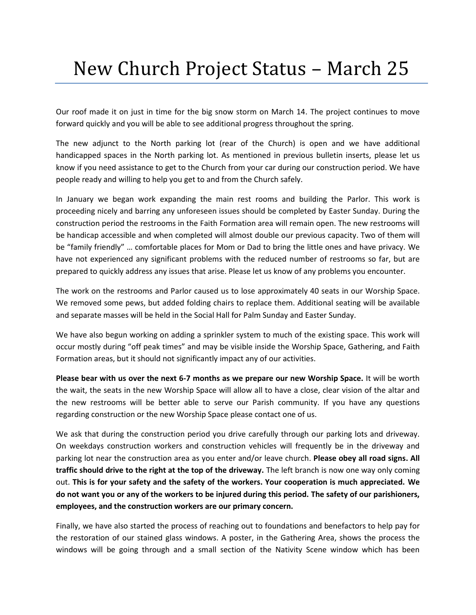## New Church Project Status – March 25

Our roof made it on just in time for the big snow storm on March 14. The project continues to move forward quickly and you will be able to see additional progress throughout the spring.

The new adjunct to the North parking lot (rear of the Church) is open and we have additional handicapped spaces in the North parking lot. As mentioned in previous bulletin inserts, please let us know if you need assistance to get to the Church from your car during our construction period. We have people ready and willing to help you get to and from the Church safely.

In January we began work expanding the main rest rooms and building the Parlor. This work is proceeding nicely and barring any unforeseen issues should be completed by Easter Sunday. During the construction period the restrooms in the Faith Formation area will remain open. The new restrooms will be handicap accessible and when completed will almost double our previous capacity. Two of them will be "family friendly" … comfortable places for Mom or Dad to bring the little ones and have privacy. We have not experienced any significant problems with the reduced number of restrooms so far, but are prepared to quickly address any issues that arise. Please let us know of any problems you encounter.

The work on the restrooms and Parlor caused us to lose approximately 40 seats in our Worship Space. We removed some pews, but added folding chairs to replace them. Additional seating will be available and separate masses will be held in the Social Hall for Palm Sunday and Easter Sunday.

We have also begun working on adding a sprinkler system to much of the existing space. This work will occur mostly during "off peak times" and may be visible inside the Worship Space, Gathering, and Faith Formation areas, but it should not significantly impact any of our activities.

**Please bear with us over the next 6-7 months as we prepare our new Worship Space.** It will be worth the wait, the seats in the new Worship Space will allow all to have a close, clear vision of the altar and the new restrooms will be better able to serve our Parish community. If you have any questions regarding construction or the new Worship Space please contact one of us.

We ask that during the construction period you drive carefully through our parking lots and driveway. On weekdays construction workers and construction vehicles will frequently be in the driveway and parking lot near the construction area as you enter and/or leave church. **Please obey all road signs. All traffic should drive to the right at the top of the driveway.** The left branch is now one way only coming out. **This is for your safety and the safety of the workers. Your cooperation is much appreciated. We do not want you or any of the workers to be injured during this period. The safety of our parishioners, employees, and the construction workers are our primary concern.**

Finally, we have also started the process of reaching out to foundations and benefactors to help pay for the restoration of our stained glass windows. A poster, in the Gathering Area, shows the process the windows will be going through and a small section of the Nativity Scene window which has been